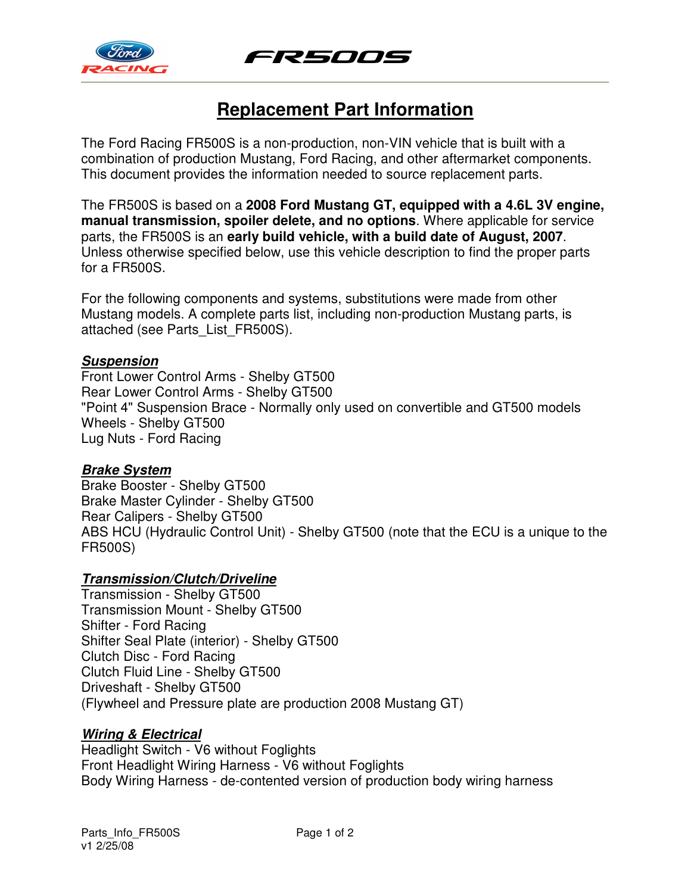



# **Replacement Part Information**

The Ford Racing FR500S is a non-production, non-VIN vehicle that is built with a combination of production Mustang, Ford Racing, and other aftermarket components. This document provides the information needed to source replacement parts.

The FR500S is based on a **2008 Ford Mustang GT, equipped with a 4.6L 3V engine, manual transmission, spoiler delete, and no options**. Where applicable for service parts, the FR500S is an **early build vehicle, with a build date of August, 2007**. Unless otherwise specified below, use this vehicle description to find the proper parts for a FR500S.

For the following components and systems, substitutions were made from other Mustang models. A complete parts list, including non-production Mustang parts, is attached (see Parts\_List\_FR500S).

#### **Suspension**

Front Lower Control Arms - Shelby GT500 Rear Lower Control Arms - Shelby GT500 "Point 4" Suspension Brace - Normally only used on convertible and GT500 models Wheels - Shelby GT500 Lug Nuts - Ford Racing

### **Brake System**

Brake Booster - Shelby GT500 Brake Master Cylinder - Shelby GT500 Rear Calipers - Shelby GT500 ABS HCU (Hydraulic Control Unit) - Shelby GT500 (note that the ECU is a unique to the FR500S)

### **Transmission/Clutch/Driveline**

Transmission - Shelby GT500 Transmission Mount - Shelby GT500 Shifter - Ford Racing Shifter Seal Plate (interior) - Shelby GT500 Clutch Disc - Ford Racing Clutch Fluid Line - Shelby GT500 Driveshaft - Shelby GT500 (Flywheel and Pressure plate are production 2008 Mustang GT)

### **Wiring & Electrical**

Headlight Switch - V6 without Foglights Front Headlight Wiring Harness - V6 without Foglights Body Wiring Harness - de-contented version of production body wiring harness